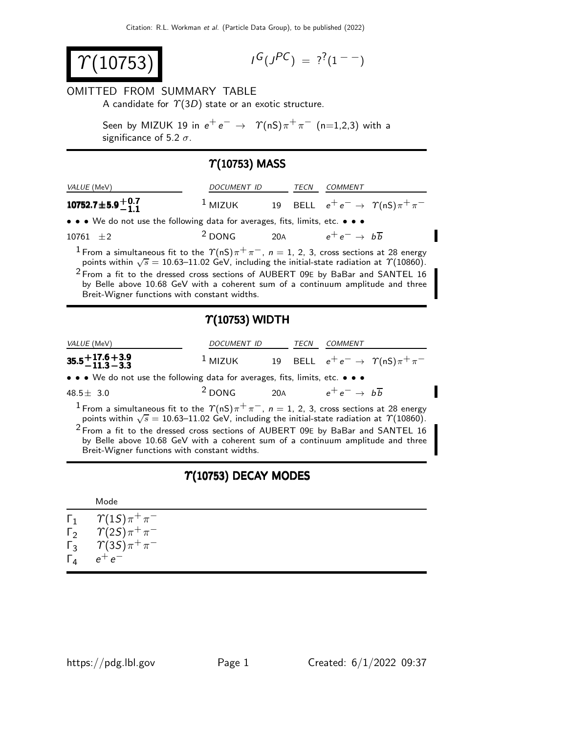$\gamma$ (10753)

$$
I^G(J^{PC}) = ?^?(1^{--})
$$

#### OMITTED FROM SUMMARY TABLE

A candidate for  $\Upsilon(3D)$  state or an exotic structure.

Seen by MIZUK 19 in  $e^+ \, e^- \, \rightarrow \, \; \, \Upsilon({\mathsf{nS}}) \, \pi^+ \, \pi^- \,$  (n=1,2,3) with a significance of 5.2  $\sigma$ .

## $\Upsilon(10753)$  MASS

| VALUE (MeV)                                                                                                                                                                                                                                                                                                                                                                                                                                          | DOCUMENT ID             |                                                                      | <b>TECN</b> | <b>COMMENT</b>                     |                                                                      |  |  |
|------------------------------------------------------------------------------------------------------------------------------------------------------------------------------------------------------------------------------------------------------------------------------------------------------------------------------------------------------------------------------------------------------------------------------------------------------|-------------------------|----------------------------------------------------------------------|-------------|------------------------------------|----------------------------------------------------------------------|--|--|
| 10752.7 $\pm$ 5.9 $^{+0.7}_{-1.1}$                                                                                                                                                                                                                                                                                                                                                                                                                   |                         | <sup>1</sup> MIZUK 19 BELL $e^+e^- \rightarrow \gamma(nS)\pi^+\pi^-$ |             |                                    |                                                                      |  |  |
| • • • We do not use the following data for averages, fits, limits, etc. • • •                                                                                                                                                                                                                                                                                                                                                                        |                         |                                                                      |             |                                    |                                                                      |  |  |
| 10761 $\pm 2$                                                                                                                                                                                                                                                                                                                                                                                                                                        | $2$ DONG 20A            |                                                                      |             | $e^+e^- \rightarrow b\overline{b}$ |                                                                      |  |  |
| <sup>1</sup> From a simultaneous fit to the $\Upsilon(nS)\pi^+\pi^-$ , $n=1, 2, 3$ , cross sections at 28 energy<br>points within $\sqrt{s} = 10.63 - 11.02$ GeV, including the initial-state radiation at $\gamma$ (10860).<br>$2$ From a fit to the dressed cross sections of AUBERT 09E by BaBar and SANTEL 16<br>by Belle above 10.68 GeV with a coherent sum of a continuum amplitude and three<br>Breit-Wigner functions with constant widths. |                         |                                                                      |             |                                    |                                                                      |  |  |
|                                                                                                                                                                                                                                                                                                                                                                                                                                                      |                         |                                                                      |             |                                    |                                                                      |  |  |
|                                                                                                                                                                                                                                                                                                                                                                                                                                                      | $\Upsilon(10753)$ WIDTH |                                                                      |             |                                    |                                                                      |  |  |
| VALUE (MeV)                                                                                                                                                                                                                                                                                                                                                                                                                                          | DOCUMENT ID             |                                                                      | TECN        | COMMENT                            |                                                                      |  |  |
| $35.5 + 17.6 + 3.9$<br>$-11.3 - 3.3$                                                                                                                                                                                                                                                                                                                                                                                                                 |                         |                                                                      |             |                                    | <sup>1</sup> MIZUK 19 BELL $e^+e^- \rightarrow \gamma(nS)\pi^+\pi^-$ |  |  |
| • • • We do not use the following data for averages, fits, limits, etc. • • •                                                                                                                                                                                                                                                                                                                                                                        |                         |                                                                      |             |                                    |                                                                      |  |  |
| 48.5 $\pm$ 3.0                                                                                                                                                                                                                                                                                                                                                                                                                                       | $2$ DONG                | 20A                                                                  |             | $e^+e^- \rightarrow b\overline{b}$ |                                                                      |  |  |

 $2$  From a fit to the dressed cross sections of AUBERT 09E by BaBar and SANTEL 16 by Belle above 10.68 GeV with a coherent sum of a continuum amplitude and three Breit-Wigner functions with constant widths.

### $\Upsilon(10753)$  DECAY MODES

|            | Mode                                       |
|------------|--------------------------------------------|
|            | $\Gamma_1 \qquad \Upsilon(15) \pi^+ \pi^-$ |
|            | $\Gamma_2 \qquad \Upsilon(2S) \pi^+ \pi^-$ |
|            | $\Gamma_3$ $\gamma(35)\pi^+\pi^-$          |
| $\Gamma_4$ | $e^+e^-$                                   |